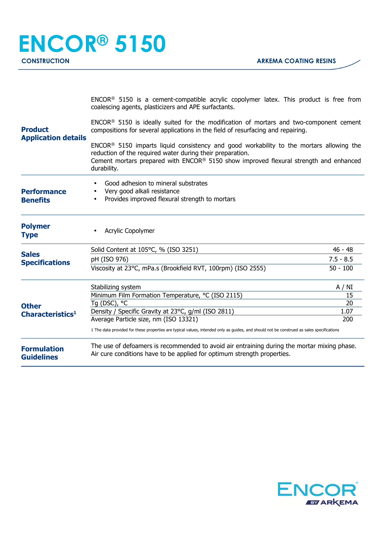|                                                                       | ENCOR <sup>®</sup> 5150 is a cement-compatible acrylic copolymer latex. This product is free from<br>coalescing agents, plasticizers and APE surfactants.                                                                                                      |             |  |
|-----------------------------------------------------------------------|----------------------------------------------------------------------------------------------------------------------------------------------------------------------------------------------------------------------------------------------------------------|-------------|--|
| <b>Product</b><br><b>Application details</b>                          | $ENCOR®$ 5150 is ideally suited for the modification of mortars and two-component cement<br>compositions for several applications in the field of resurfacing and repairing.                                                                                   |             |  |
|                                                                       | $ENCOR®$ 5150 imparts liquid consistency and good workability to the mortars allowing the<br>reduction of the required water during their preparation.<br>Cement mortars prepared with ENCOR® 5150 show improved flexural strength and enhanced<br>durability. |             |  |
| <b>Performance</b><br><b>Benefits</b>                                 | Good adhesion to mineral substrates<br>Very good alkali resistance<br>Provides improved flexural strength to mortars<br>$\bullet$                                                                                                                              |             |  |
| <b>Polymer</b><br><b>Type</b>                                         | Acrylic Copolymer                                                                                                                                                                                                                                              |             |  |
| <b>Sales</b>                                                          | Solid Content at 105°C, % (ISO 3251)                                                                                                                                                                                                                           | $46 - 48$   |  |
| <b>Specifications</b><br><b>Other</b><br>Characteristics <sup>1</sup> | pH (ISO 976)                                                                                                                                                                                                                                                   | $7.5 - 8.5$ |  |
|                                                                       | Viscosity at 23°C, mPa.s (Brookfield RVT, 100rpm) (ISO 2555)                                                                                                                                                                                                   | $50 - 100$  |  |
|                                                                       | Stabilizing system                                                                                                                                                                                                                                             | A / NI      |  |
|                                                                       | Minimum Film Formation Temperature, °C (ISO 2115)                                                                                                                                                                                                              | 15          |  |
|                                                                       | Tq (DSC), °C                                                                                                                                                                                                                                                   | 20          |  |
|                                                                       | Density / Specific Gravity at 23°C, g/ml (ISO 2811)                                                                                                                                                                                                            | 1.07        |  |
|                                                                       | Average Particle size, nm (ISO 13321)<br>200<br>1 The data provided for these properties are typical values, intended only as guides, and should not be construed as sales specifications                                                                      |             |  |
| <b>Formulation</b><br><b>Guidelines</b>                               | The use of defoamers is recommended to avoid air entraining during the mortar mixing phase.<br>Air cure conditions have to be applied for optimum strength properties.                                                                                         |             |  |